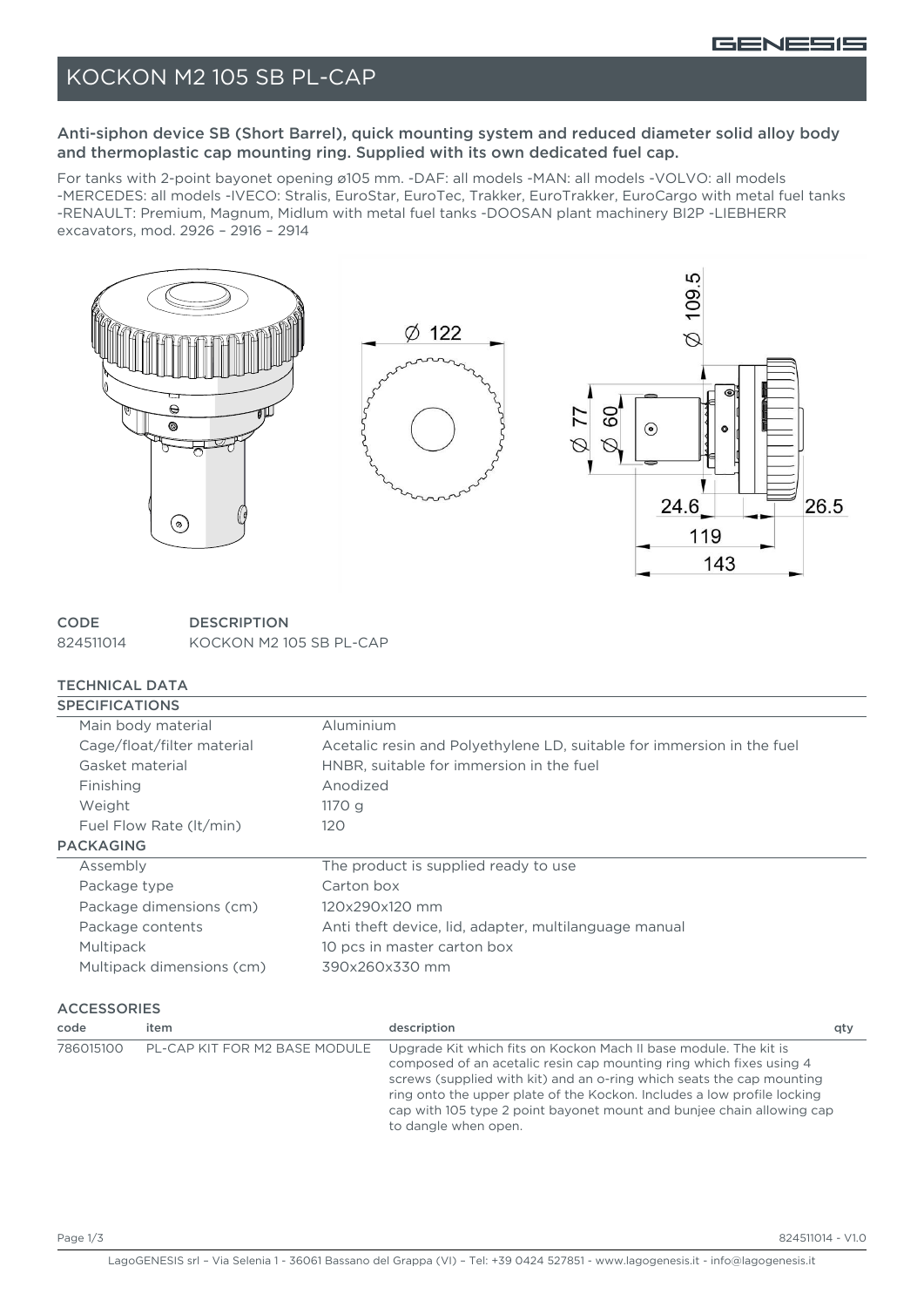

## KOCKON M2 105 SB PL-CAP

### Anti-siphon device SB (Short Barrel), quick mounting system and reduced diameter solid alloy body and thermoplastic cap mounting ring. Supplied with its own dedicated fuel cap.

For tanks with 2-point bayonet opening ø105 mm. -DAF: all models -MAN: all models -VOLVO: all models -MERCEDES: all models -IVECO: Stralis, EuroStar, EuroTec, Trakker, EuroTrakker, EuroCargo with metal fuel tanks -RENAULT: Premium, Magnum, Midlum with metal fuel tanks -DOOSAN plant machinery BI2P -LIEBHERR excavators, mod. 2926 – 2916 – 2914



**CODE DESCRIPTION** 824511014 KOCKON M2 105 SB PL-CAP

### TECHNICAL DATA

| <b>SPECIFICATIONS</b>      |                                                                        |
|----------------------------|------------------------------------------------------------------------|
| Main body material         | Aluminium                                                              |
| Cage/float/filter material | Acetalic resin and Polyethylene LD, suitable for immersion in the fuel |
| Gasket material            | HNBR, suitable for immersion in the fuel                               |
| Finishing                  | Anodized                                                               |
| Weight                     | 1170q                                                                  |
| Fuel Flow Rate (It/min)    | 120                                                                    |
| <b>PACKAGING</b>           |                                                                        |
| Assembly                   | The product is supplied ready to use                                   |
| Package type               | Carton box                                                             |
| Package dimensions (cm)    | 120x290x120 mm                                                         |
| Package contents           | Anti theft device, lid, adapter, multilanguage manual                  |
| Multipack                  | 10 pcs in master carton box                                            |
| Multipack dimensions (cm)  | 390x260x330 mm                                                         |
|                            |                                                                        |

#### **ACCESSORIES**

| code      | item                          | description                                                                                                                                                                                                                                                                                                                                                                                  | aty |
|-----------|-------------------------------|----------------------------------------------------------------------------------------------------------------------------------------------------------------------------------------------------------------------------------------------------------------------------------------------------------------------------------------------------------------------------------------------|-----|
| 786015100 | PL-CAP KIT FOR M2 BASE MODULE | Upgrade Kit which fits on Kockon Mach II base module. The kit is<br>composed of an acetalic resin cap mounting ring which fixes using 4<br>screws (supplied with kit) and an o-ring which seats the cap mounting<br>ring onto the upper plate of the Kockon. Includes a low profile locking<br>cap with 105 type 2 point bayonet mount and bunjee chain allowing cap<br>to dangle when open. |     |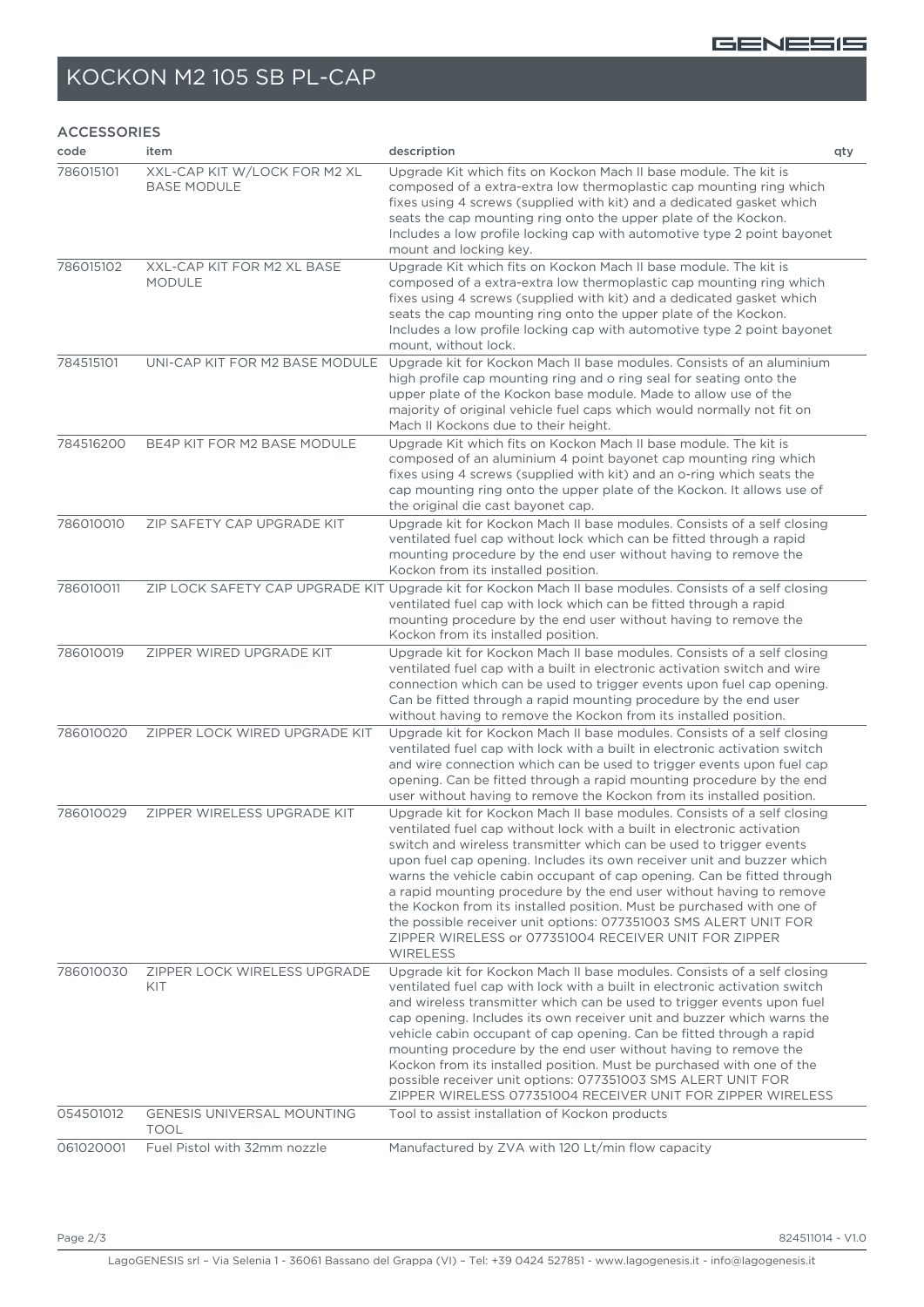#### GENESIS

# KOCKON M2 105 SB PL-CAP

#### ACCESSORIES

| code      | item                                               | description                                                                                                                                                                                                                                                                                                                                                                                                                                                                                                                                                                                                                                                                  | qty |
|-----------|----------------------------------------------------|------------------------------------------------------------------------------------------------------------------------------------------------------------------------------------------------------------------------------------------------------------------------------------------------------------------------------------------------------------------------------------------------------------------------------------------------------------------------------------------------------------------------------------------------------------------------------------------------------------------------------------------------------------------------------|-----|
| 786015101 | XXL-CAP KIT W/LOCK FOR M2 XL<br><b>BASE MODULE</b> | Upgrade Kit which fits on Kockon Mach II base module. The kit is<br>composed of a extra-extra low thermoplastic cap mounting ring which<br>fixes using 4 screws (supplied with kit) and a dedicated gasket which<br>seats the cap mounting ring onto the upper plate of the Kockon.<br>Includes a low profile locking cap with automotive type 2 point bayonet<br>mount and locking key.                                                                                                                                                                                                                                                                                     |     |
| 786015102 | XXL-CAP KIT FOR M2 XL BASE<br><b>MODULE</b>        | Upgrade Kit which fits on Kockon Mach II base module. The kit is<br>composed of a extra-extra low thermoplastic cap mounting ring which<br>fixes using 4 screws (supplied with kit) and a dedicated gasket which<br>seats the cap mounting ring onto the upper plate of the Kockon.<br>Includes a low profile locking cap with automotive type 2 point bayonet<br>mount, without lock.                                                                                                                                                                                                                                                                                       |     |
| 784515101 | UNI-CAP KIT FOR M2 BASE MODULE                     | Upgrade kit for Kockon Mach II base modules. Consists of an aluminium<br>high profile cap mounting ring and o ring seal for seating onto the<br>upper plate of the Kockon base module. Made to allow use of the<br>majority of original vehicle fuel caps which would normally not fit on<br>Mach II Kockons due to their height.                                                                                                                                                                                                                                                                                                                                            |     |
| 784516200 | BE4P KIT FOR M2 BASE MODULE                        | Upgrade Kit which fits on Kockon Mach II base module. The kit is<br>composed of an aluminium 4 point bayonet cap mounting ring which<br>fixes using 4 screws (supplied with kit) and an o-ring which seats the<br>cap mounting ring onto the upper plate of the Kockon. It allows use of<br>the original die cast bayonet cap.                                                                                                                                                                                                                                                                                                                                               |     |
| 786010010 | ZIP SAFETY CAP UPGRADE KIT                         | Upgrade kit for Kockon Mach II base modules. Consists of a self closing<br>ventilated fuel cap without lock which can be fitted through a rapid<br>mounting procedure by the end user without having to remove the<br>Kockon from its installed position.                                                                                                                                                                                                                                                                                                                                                                                                                    |     |
| 786010011 |                                                    | ZIP LOCK SAFETY CAP UPGRADE KIT Upgrade kit for Kockon Mach II base modules. Consists of a self closing<br>ventilated fuel cap with lock which can be fitted through a rapid<br>mounting procedure by the end user without having to remove the<br>Kockon from its installed position.                                                                                                                                                                                                                                                                                                                                                                                       |     |
| 786010019 | ZIPPER WIRED UPGRADE KIT                           | Upgrade kit for Kockon Mach II base modules. Consists of a self closing<br>ventilated fuel cap with a built in electronic activation switch and wire<br>connection which can be used to trigger events upon fuel cap opening.<br>Can be fitted through a rapid mounting procedure by the end user<br>without having to remove the Kockon from its installed position.                                                                                                                                                                                                                                                                                                        |     |
| 786010020 | ZIPPER LOCK WIRED UPGRADE KIT                      | Upgrade kit for Kockon Mach II base modules. Consists of a self closing<br>ventilated fuel cap with lock with a built in electronic activation switch<br>and wire connection which can be used to trigger events upon fuel cap<br>opening. Can be fitted through a rapid mounting procedure by the end<br>user without having to remove the Kockon from its installed position.                                                                                                                                                                                                                                                                                              |     |
| 786010029 | ZIPPER WIRELESS UPGRADE KIT                        | Upgrade kit for Kockon Mach II base modules. Consists of a self closing<br>ventilated fuel cap without lock with a built in electronic activation<br>switch and wireless transmitter which can be used to trigger events<br>upon fuel cap opening. Includes its own receiver unit and buzzer which<br>warns the vehicle cabin occupant of cap opening. Can be fitted through<br>a rapid mounting procedure by the end user without having to remove<br>the Kockon from its installed position. Must be purchased with one of<br>the possible receiver unit options: 077351003 SMS ALERT UNIT FOR<br>ZIPPER WIRELESS or 077351004 RECEIVER UNIT FOR ZIPPER<br><b>WIRELESS</b> |     |
| 786010030 | ZIPPER LOCK WIRELESS UPGRADE<br>KIT                | Upgrade kit for Kockon Mach II base modules. Consists of a self closing<br>ventilated fuel cap with lock with a built in electronic activation switch<br>and wireless transmitter which can be used to trigger events upon fuel<br>cap opening. Includes its own receiver unit and buzzer which warns the<br>vehicle cabin occupant of cap opening. Can be fitted through a rapid<br>mounting procedure by the end user without having to remove the<br>Kockon from its installed position. Must be purchased with one of the<br>possible receiver unit options: 077351003 SMS ALERT UNIT FOR<br>ZIPPER WIRELESS 077351004 RECEIVER UNIT FOR ZIPPER WIRELESS                 |     |
| 054501012 | <b>GENESIS UNIVERSAL MOUNTING</b><br><b>TOOL</b>   | Tool to assist installation of Kockon products                                                                                                                                                                                                                                                                                                                                                                                                                                                                                                                                                                                                                               |     |
| 061020001 | Fuel Pistol with 32mm nozzle                       | Manufactured by ZVA with 120 Lt/min flow capacity                                                                                                                                                                                                                                                                                                                                                                                                                                                                                                                                                                                                                            |     |

Page 2/3 824511014 - V1.0